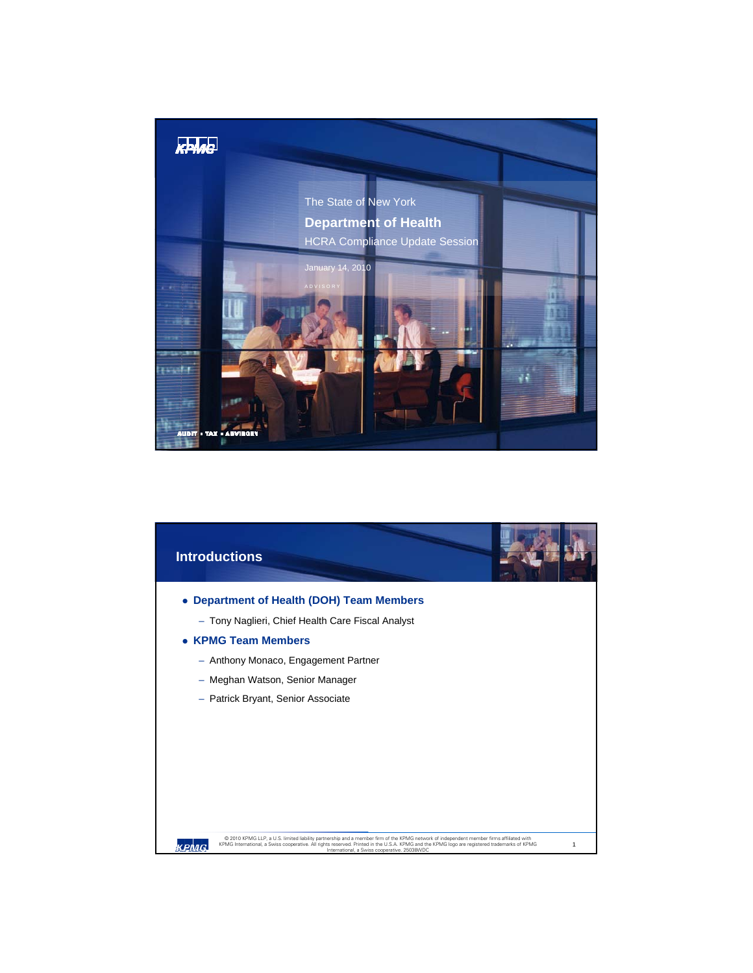

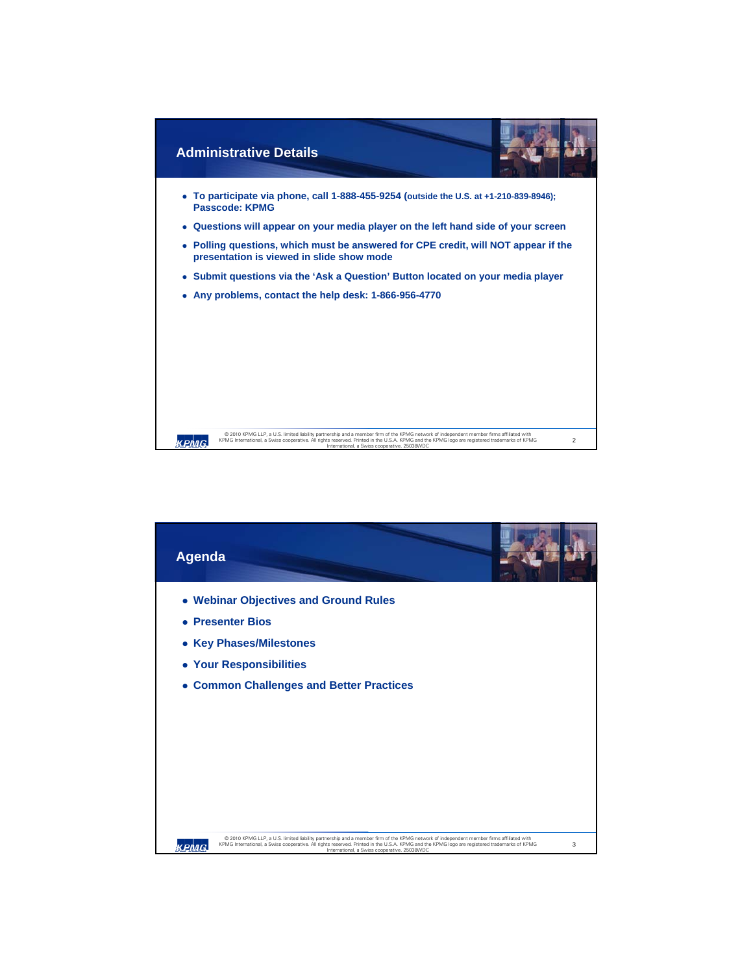

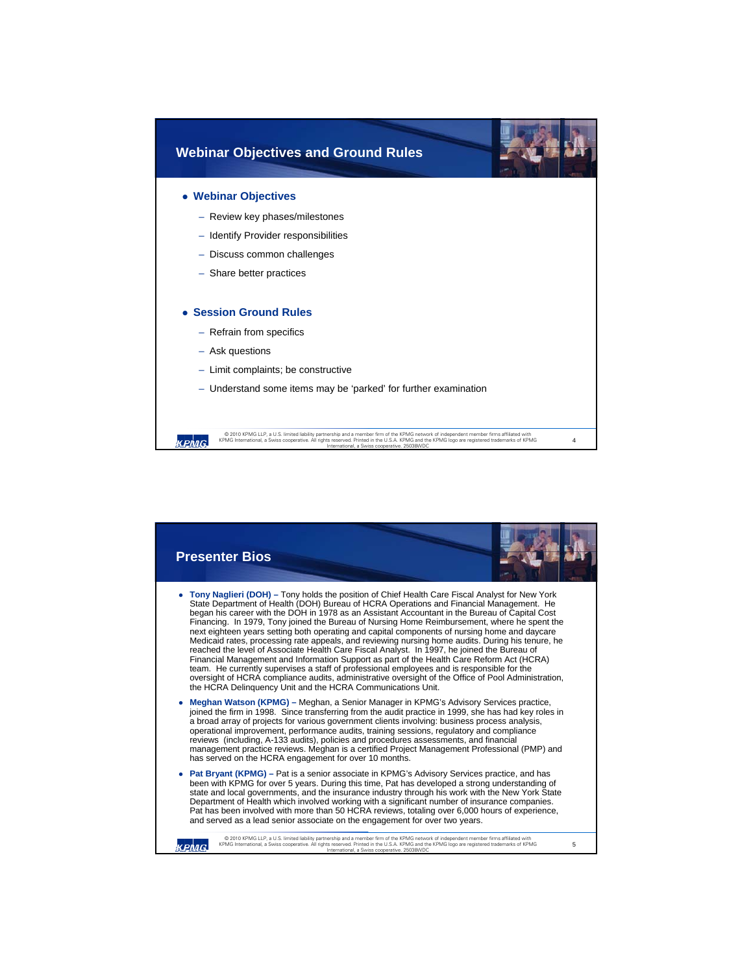

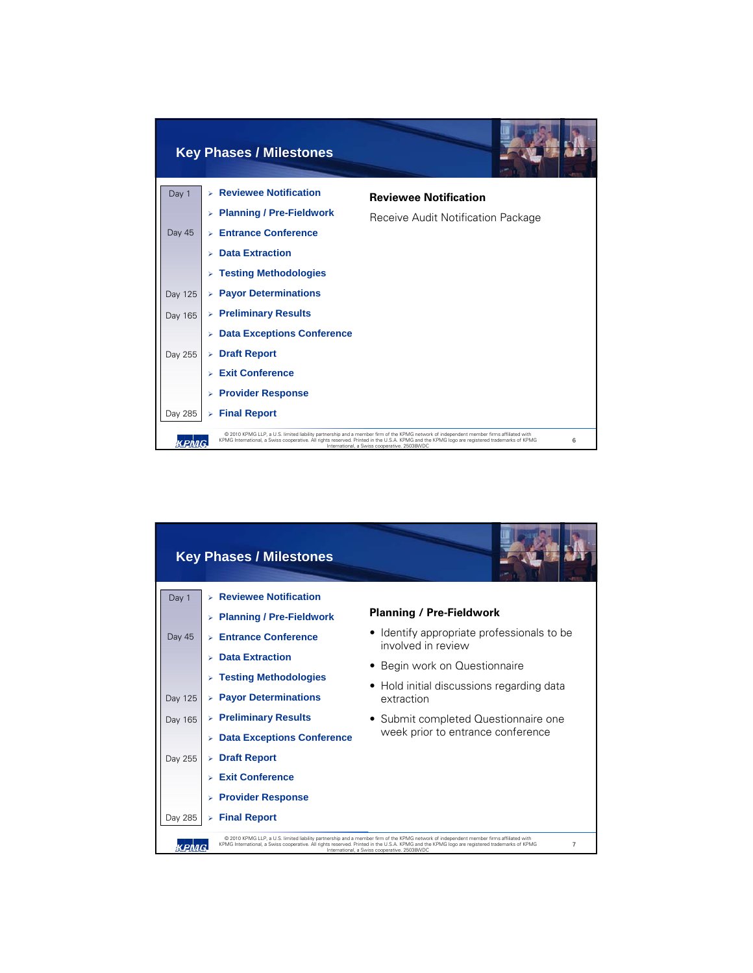

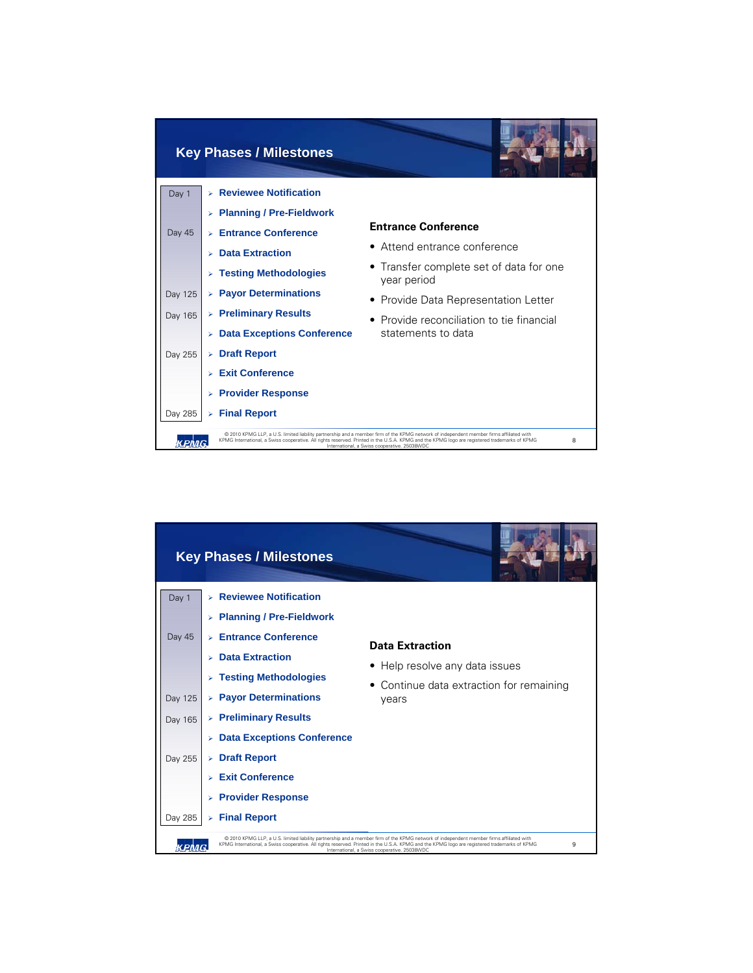

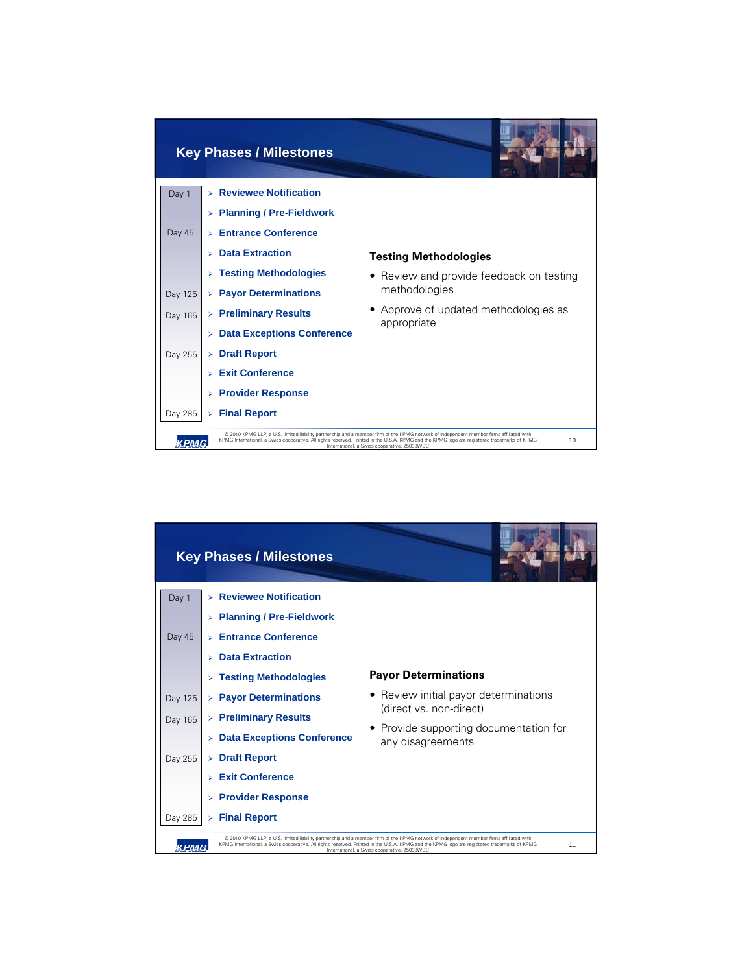

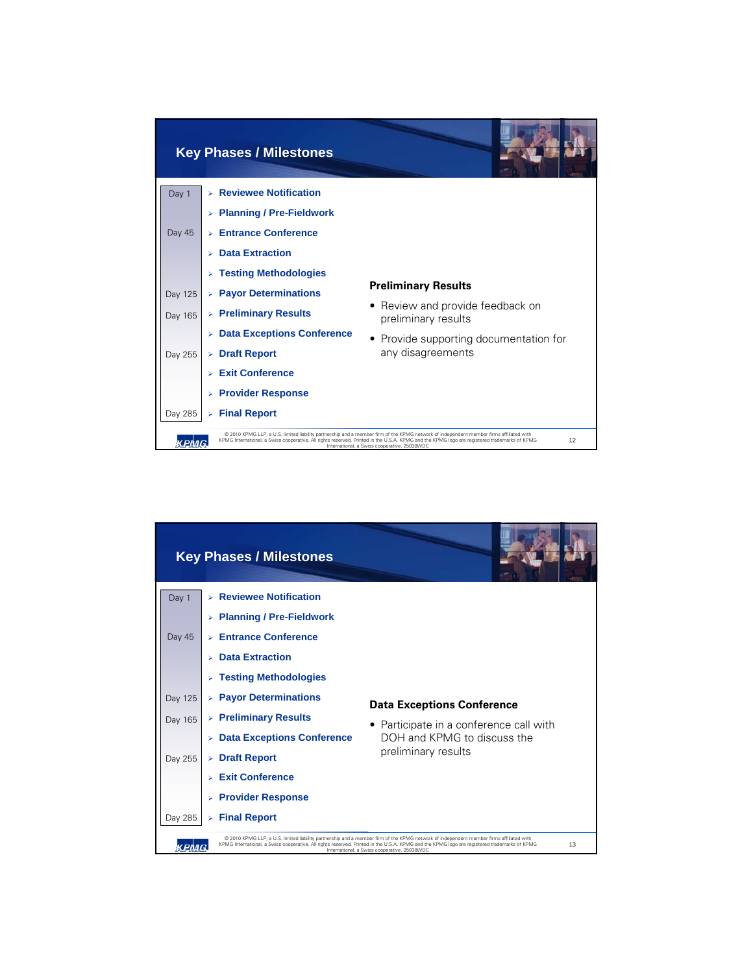

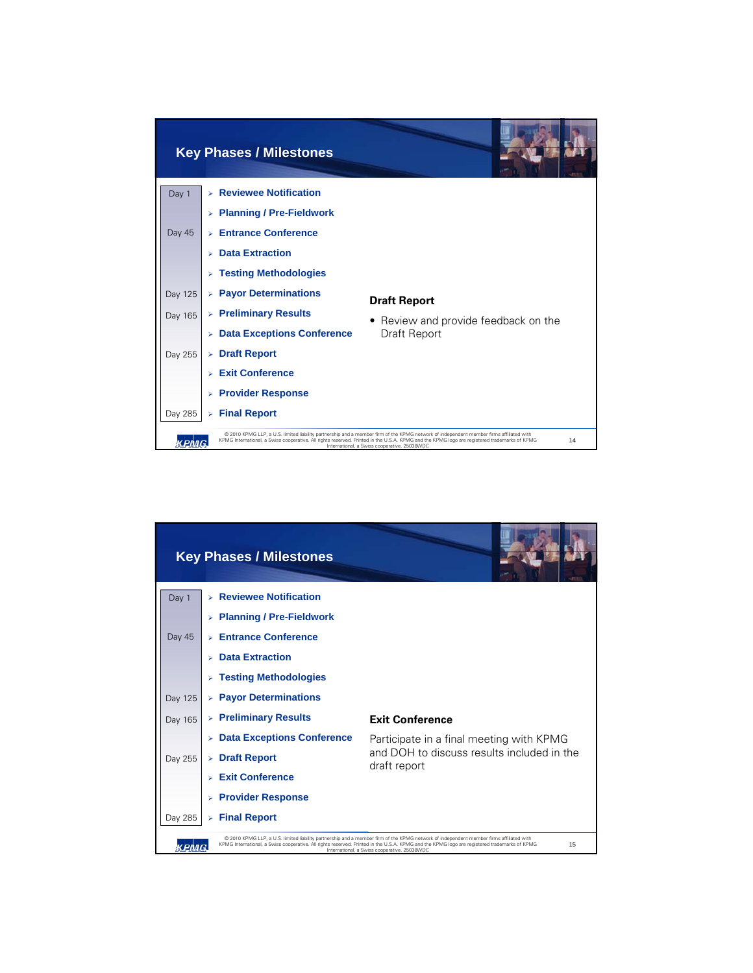

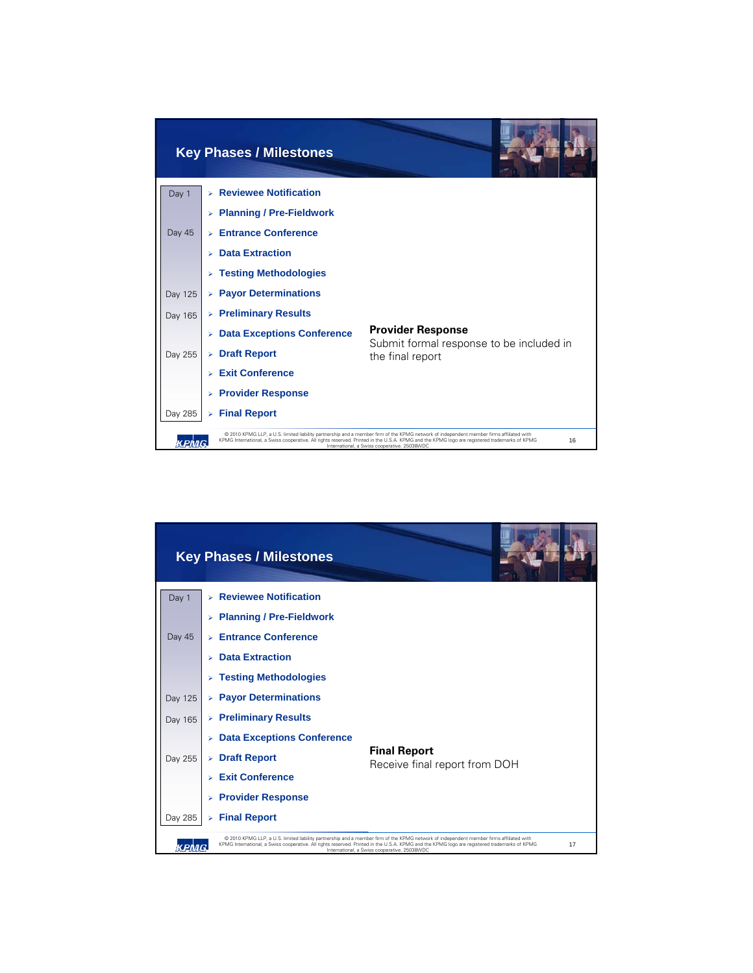

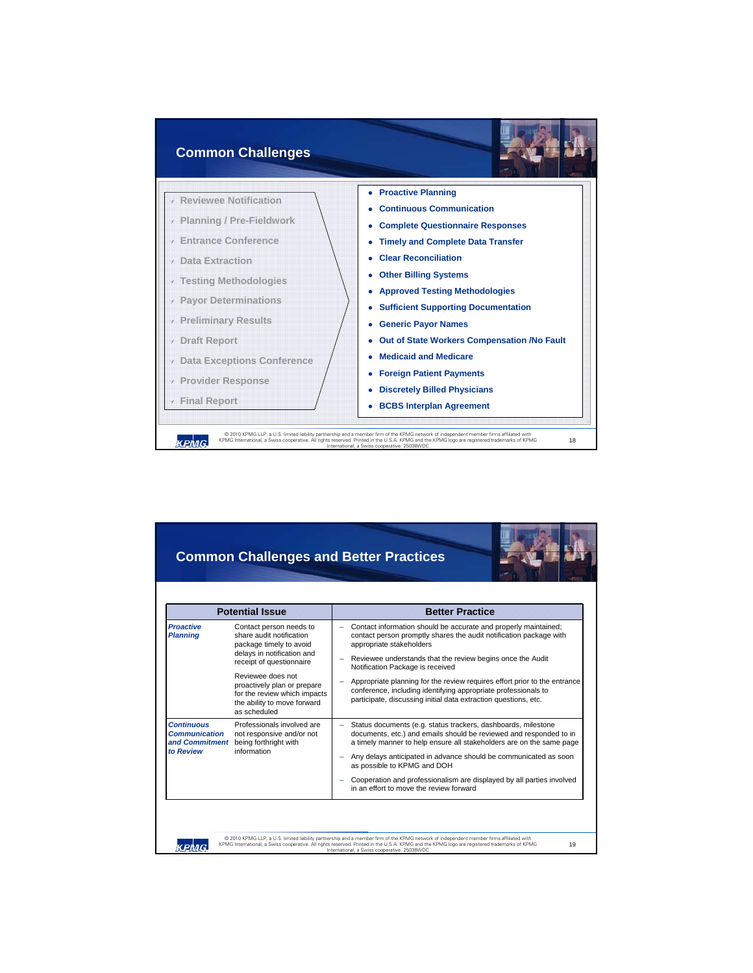

|                                                                          | <b>Potential Issue</b>                                                                                                                                                                                                                                                      | <b>Better Practice</b>                                                                                                                                                                                                                                                                                                                                                                                                                                                                |
|--------------------------------------------------------------------------|-----------------------------------------------------------------------------------------------------------------------------------------------------------------------------------------------------------------------------------------------------------------------------|---------------------------------------------------------------------------------------------------------------------------------------------------------------------------------------------------------------------------------------------------------------------------------------------------------------------------------------------------------------------------------------------------------------------------------------------------------------------------------------|
| <b>Proactive</b><br><b>Planning</b>                                      | Contact person needs to<br>share audit notification<br>package timely to avoid<br>delays in notification and<br>receipt of questionnaire<br>Reviewee does not<br>proactively plan or prepare<br>for the review which impacts<br>the ability to move forward<br>as scheduled | Contact information should be accurate and properly maintained;<br>contact person promptly shares the audit notification package with<br>appropriate stakeholders<br>Reviewee understands that the review begins once the Audit<br>Notification Package is received<br>Appropriate planning for the review requires effort prior to the entrance<br>conference, including identifying appropriate professionals to<br>participate, discussing initial data extraction questions, etc. |
| <b>Continuous</b><br><b>Communication</b><br>and Commitment<br>to Review | Professionals involved are<br>not responsive and/or not<br>being forthright with<br>information                                                                                                                                                                             | Status documents (e.g. status trackers, dashboards, milestone<br>documents, etc.) and emails should be reviewed and responded to in<br>a timely manner to help ensure all stakeholders are on the same page<br>Any delays anticipated in advance should be communicated as soon<br>as possible to KPMG and DOH<br>Cooperation and professionalism are displayed by all parties involved<br>in an effort to move the review forward                                                    |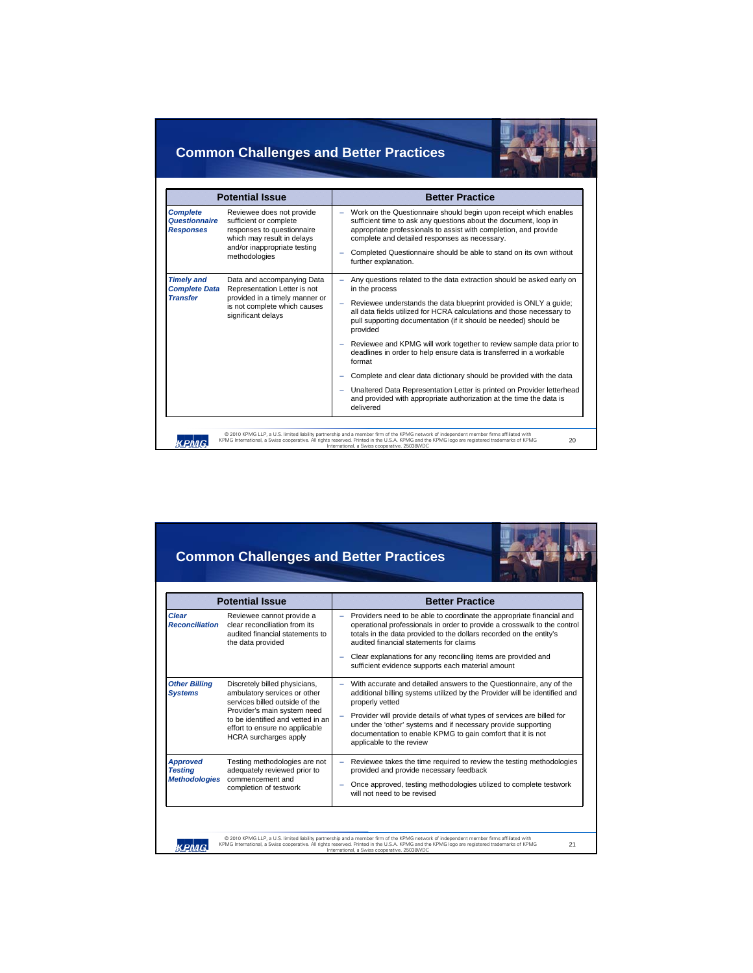## **Common Challenges and Better Practices**



| <b>Potential Issue</b>                                       |                                                                                                                                                                  | <b>Better Practice</b>                                                                                                                                                                                                                                                                                                                                                                                                                                                                                                                                                                                                                                                                                             |  |
|--------------------------------------------------------------|------------------------------------------------------------------------------------------------------------------------------------------------------------------|--------------------------------------------------------------------------------------------------------------------------------------------------------------------------------------------------------------------------------------------------------------------------------------------------------------------------------------------------------------------------------------------------------------------------------------------------------------------------------------------------------------------------------------------------------------------------------------------------------------------------------------------------------------------------------------------------------------------|--|
| <b>Complete</b><br><b>Questionnaire</b><br><b>Responses</b>  | Reviewee does not provide<br>sufficient or complete<br>responses to questionnaire<br>which may result in delays<br>and/or inappropriate testing<br>methodologies | Work on the Questionnaire should begin upon receipt which enables<br>sufficient time to ask any questions about the document, loop in<br>appropriate professionals to assist with completion, and provide<br>complete and detailed responses as necessary.<br>Completed Questionnaire should be able to stand on its own without<br>further explanation.                                                                                                                                                                                                                                                                                                                                                           |  |
| <b>Timely and</b><br><b>Complete Data</b><br><b>Transfer</b> | Data and accompanying Data<br>Representation Letter is not<br>provided in a timely manner or<br>is not complete which causes<br>significant delays               | Any questions related to the data extraction should be asked early on<br>in the process<br>Reviewee understands the data blueprint provided is ONLY a quide;<br>all data fields utilized for HCRA calculations and those necessary to<br>pull supporting documentation (if it should be needed) should be<br>provided<br>Reviewee and KPMG will work together to review sample data prior to<br>deadlines in order to help ensure data is transferred in a workable<br>format<br>Complete and clear data dictionary should be provided with the data<br>Unaltered Data Representation Letter is printed on Provider letterhead<br>and provided with appropriate authorization at the time the data is<br>delivered |  |
|                                                              |                                                                                                                                                                  | @ 2010 KPMG LLP, a U.S. limited liability partnership and a member firm of the KPMG network of independent member firms affiliated with<br>KPMG International, a Swiss cooperative. All rights reserved. Printed in the U.S.A. KPMG and the KPMG logo are registered trademarks of KPMG<br>20<br>International, a Swiss cooperative. 25038WDC                                                                                                                                                                                                                                                                                                                                                                      |  |

|                                                           | <b>Potential Issue</b>                                                                                                                                                                                                                | <b>Better Practice</b>                                                                                                                                                                                                                                                                                                                                                                                     |
|-----------------------------------------------------------|---------------------------------------------------------------------------------------------------------------------------------------------------------------------------------------------------------------------------------------|------------------------------------------------------------------------------------------------------------------------------------------------------------------------------------------------------------------------------------------------------------------------------------------------------------------------------------------------------------------------------------------------------------|
| Clear<br><b>Reconciliation</b>                            | Reviewee cannot provide a<br>clear reconciliation from its<br>audited financial statements to<br>the data provided                                                                                                                    | Providers need to be able to coordinate the appropriate financial and<br>operational professionals in order to provide a crosswalk to the control<br>totals in the data provided to the dollars recorded on the entity's<br>audited financial statements for claims<br>Clear explanations for any reconciling items are provided and<br>sufficient evidence supports each material amount                  |
| <b>Other Billing</b><br><b>Systems</b>                    | Discretely billed physicians,<br>ambulatory services or other<br>services billed outside of the<br>Provider's main system need<br>to be identified and vetted in an<br>effort to ensure no applicable<br><b>HCRA</b> surcharges apply | With accurate and detailed answers to the Questionnaire, any of the<br>additional billing systems utilized by the Provider will be identified and<br>properly vetted<br>Provider will provide details of what types of services are billed for<br>under the 'other' systems and if necessary provide supporting<br>documentation to enable KPMG to gain comfort that it is not<br>applicable to the review |
| <b>Approved</b><br><b>Testing</b><br><b>Methodologies</b> | Testing methodologies are not<br>adequately reviewed prior to<br>commencement and<br>completion of testwork                                                                                                                           | Reviewee takes the time required to review the testing methodologies<br>provided and provide necessary feedback<br>Once approved, testing methodologies utilized to complete testwork<br>will not need to be revised                                                                                                                                                                                       |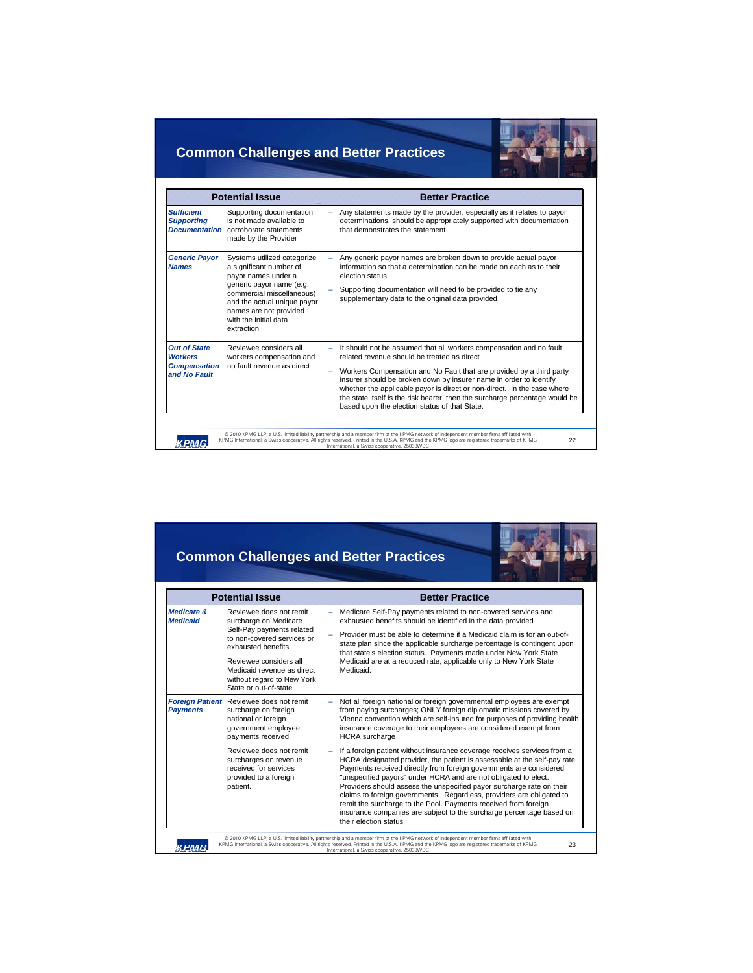## **Common Challenges and Better Practices**



|                                                                              | <b>Potential Issue</b>                                                                                                                                                                                                                 | <b>Better Practice</b>                                                                                                                                                                                                                                                                                                                                                                                                                                                                |
|------------------------------------------------------------------------------|----------------------------------------------------------------------------------------------------------------------------------------------------------------------------------------------------------------------------------------|---------------------------------------------------------------------------------------------------------------------------------------------------------------------------------------------------------------------------------------------------------------------------------------------------------------------------------------------------------------------------------------------------------------------------------------------------------------------------------------|
| <b>Sufficient</b><br><b>Supporting</b><br><b>Documentation</b>               | Supporting documentation<br>is not made available to<br>corroborate statements<br>made by the Provider                                                                                                                                 | Any statements made by the provider, especially as it relates to payor<br>determinations, should be appropriately supported with documentation<br>that demonstrates the statement                                                                                                                                                                                                                                                                                                     |
| <b>Generic Payor</b><br><b>Names</b>                                         | Systems utilized categorize<br>a significant number of<br>payor names under a<br>generic payor name (e.g.<br>commercial miscellaneous)<br>and the actual unique payor<br>names are not provided<br>with the initial data<br>extraction | Any generic payor names are broken down to provide actual payor<br>information so that a determination can be made on each as to their<br>election status<br>Supporting documentation will need to be provided to tie any<br>supplementary data to the original data provided                                                                                                                                                                                                         |
| <b>Out of State</b><br><b>Workers</b><br><b>Compensation</b><br>and No Fault | Reviewee considers all<br>workers compensation and<br>no fault revenue as direct                                                                                                                                                       | It should not be assumed that all workers compensation and no fault<br>-<br>related revenue should be treated as direct<br>Workers Compensation and No Fault that are provided by a third party<br>-<br>insurer should be broken down by insurer name in order to identify<br>whether the applicable payor is direct or non-direct. In the case where<br>the state itself is the risk bearer, then the surcharge percentage would be<br>based upon the election status of that State. |

|                                          | <b>Potential Issue</b>                                                                                                                                                                                                                                | <b>Better Practice</b>                                                                                                                                                                                                                                                                                                                                                                                                                                                                                                                                                                                                                                                                                                                                                                                                                                                                                                                         |
|------------------------------------------|-------------------------------------------------------------------------------------------------------------------------------------------------------------------------------------------------------------------------------------------------------|------------------------------------------------------------------------------------------------------------------------------------------------------------------------------------------------------------------------------------------------------------------------------------------------------------------------------------------------------------------------------------------------------------------------------------------------------------------------------------------------------------------------------------------------------------------------------------------------------------------------------------------------------------------------------------------------------------------------------------------------------------------------------------------------------------------------------------------------------------------------------------------------------------------------------------------------|
| <b>Medicare &amp;</b><br><b>Medicaid</b> | Reviewee does not remit<br>surcharge on Medicare<br>Self-Pay payments related<br>to non-covered services or<br>exhausted benefits<br>Reviewee considers all<br>Medicaid revenue as direct<br>without regard to New York<br>State or out-of-state      | Medicare Self-Pay payments related to non-covered services and<br>exhausted benefits should be identified in the data provided<br>Provider must be able to determine if a Medicaid claim is for an out-of-<br>state plan since the applicable surcharge percentage is contingent upon<br>that state's election status. Payments made under New York State<br>Medicaid are at a reduced rate, applicable only to New York State<br>Medicaid.                                                                                                                                                                                                                                                                                                                                                                                                                                                                                                    |
| <b>Payments</b>                          | Foreign Patient Reviewee does not remit<br>surcharge on foreign<br>national or foreign<br>government employee<br>payments received.<br>Reviewee does not remit<br>surcharges on revenue<br>received for services<br>provided to a foreign<br>patient. | Not all foreign national or foreign governmental employees are exempt<br>from paying surcharges; ONLY foreign diplomatic missions covered by<br>Vienna convention which are self-insured for purposes of providing health<br>insurance coverage to their employees are considered exempt from<br><b>HCRA</b> surcharge<br>If a foreign patient without insurance coverage receives services from a<br>HCRA designated provider, the patient is assessable at the self-pay rate.<br>Payments received directly from foreign governments are considered<br>"unspecified payors" under HCRA and are not obligated to elect.<br>Providers should assess the unspecified payor surcharge rate on their<br>claims to foreign governments. Regardless, providers are obligated to<br>remit the surcharge to the Pool. Payments received from foreign<br>insurance companies are subject to the surcharge percentage based on<br>their election status |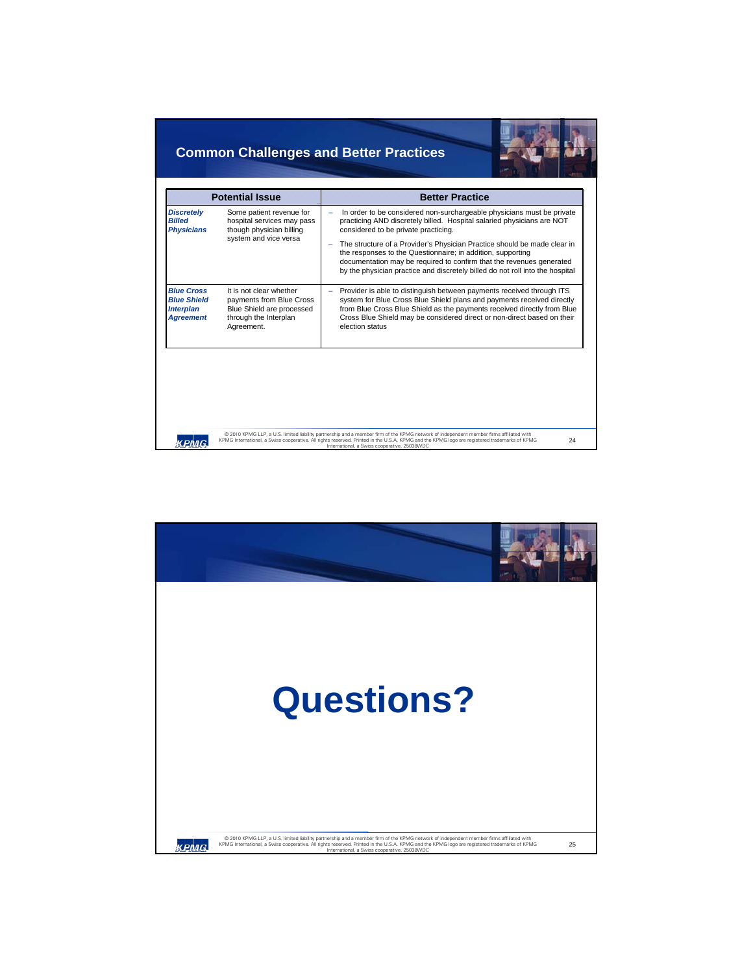



|                                                                                 | <b>Potential Issue</b>                                                                                                  | <b>Better Practice</b>                                                                                                                                                                                                                                                                                                                                                                                                                                                                       |    |
|---------------------------------------------------------------------------------|-------------------------------------------------------------------------------------------------------------------------|----------------------------------------------------------------------------------------------------------------------------------------------------------------------------------------------------------------------------------------------------------------------------------------------------------------------------------------------------------------------------------------------------------------------------------------------------------------------------------------------|----|
| <b>Discretely</b><br><b>Billed</b><br><b>Physicians</b>                         | Some patient revenue for<br>hospital services may pass<br>though physician billing<br>system and vice versa             | In order to be considered non-surchargeable physicians must be private<br>practicing AND discretely billed. Hospital salaried physicians are NOT<br>considered to be private practicing.<br>The structure of a Provider's Physician Practice should be made clear in<br>the responses to the Questionnaire; in addition, supporting<br>documentation may be required to confirm that the revenues generated<br>by the physician practice and discretely billed do not roll into the hospital |    |
| <b>Blue Cross</b><br><b>Blue Shield</b><br><b>Interplan</b><br><b>Agreement</b> | It is not clear whether<br>payments from Blue Cross<br>Blue Shield are processed<br>through the Interplan<br>Agreement. | Provider is able to distinguish between payments received through ITS<br>system for Blue Cross Blue Shield plans and payments received directly<br>from Blue Cross Blue Shield as the payments received directly from Blue<br>Cross Blue Shield may be considered direct or non-direct based on their<br>election status                                                                                                                                                                     |    |
|                                                                                 |                                                                                                                         |                                                                                                                                                                                                                                                                                                                                                                                                                                                                                              |    |
|                                                                                 |                                                                                                                         | @ 2010 KPMG LLP, a U.S. limited liability partnership and a member firm of the KPMG network of independent member firms affiliated with<br>KPMG International, a Swiss cooperative. All rights reserved. Printed in the U.S.A. KPMG and the KPMG logo are registered trademarks of KPMG<br>International, a Swiss cooperative, 25038WDC                                                                                                                                                      | 24 |